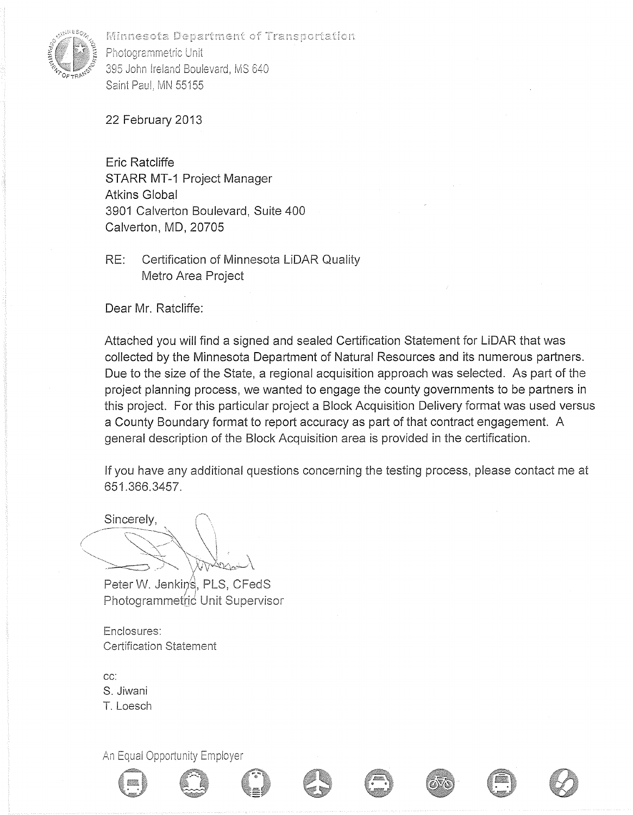

Minnesota Department of Transportation Photogrammetric Unit 395 John Ireland Boulevard, MS 640 Saint Paul, MN 55155

22 February 2013

Eric Ratcliffe STARR MT-1 Project Manager Atkins Global 3901 Calverton Boulevard, Suite 400 Calverton, MD, 20705

RE: Certification of Minnesota LiDAR Quality Metro Area Project

Dear Mr. Ratcliffe:

Attached you will find a signed and sealed Certification Statement for LiDAR that was collected by the Minnesota Department of Natural Resources and its numerous partners. Due to the size of the State, a regional acquisition approach was selected. As part of the project planning process, we wanted to engage the county governments to be partners in this project. For this particular project a Block Acquisition Delivery format was used versus a County Boundary format to report accuracy as part of that contract engagement. A general description of the Block Acquisition area is provided in the certification.

If you have any additional questions concerning the testing process, please contact me at 651.366.3457.

Sincerely,

Peter W. Jenkins, PLS, CFedS Photogrammetric Unit Supervisor

Enclosures: Certification Statement

cc: S. Jiwani T. Loesch

An Equal Opportunity Employer